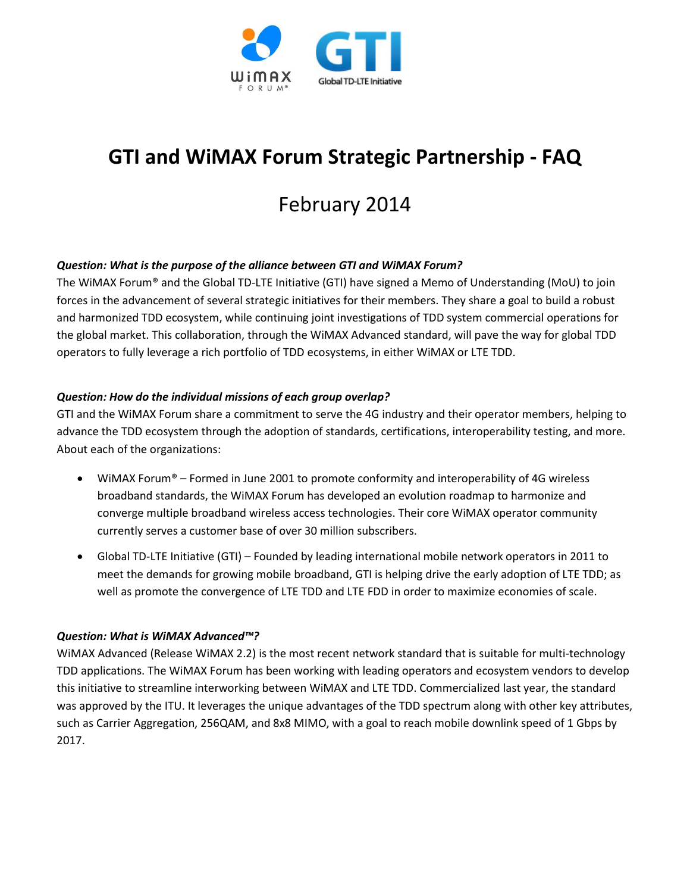

# **GTI and WiMAX Forum Strategic Partnership - FAQ**

## February 2014

#### *Question: What is the purpose of the alliance between GTI and WiMAX Forum?*

The WiMAX Forum® and the Global TD-LTE Initiative (GTI) have signed a Memo of Understanding (MoU) to join forces in the advancement of several strategic initiatives for their members. They share a goal to build a robust and harmonized TDD ecosystem, while continuing joint investigations of TDD system commercial operations for the global market. This collaboration, through the WiMAX Advanced standard, will pave the way for global TDD operators to fully leverage a rich portfolio of TDD ecosystems, in either WiMAX or LTE TDD.

#### *Question: How do the individual missions of each group overlap?*

GTI and the WiMAX Forum share a commitment to serve the 4G industry and their operator members, helping to advance the TDD ecosystem through the adoption of standards, certifications, interoperability testing, and more. About each of the organizations:

- WiMAX Forum<sup>®</sup> Formed in June 2001 to promote conformity and interoperability of 4G wireless broadband standards, the WiMAX Forum has developed an evolution roadmap to harmonize and converge multiple broadband wireless access technologies. Their core WiMAX operator community currently serves a customer base of over 30 million subscribers.
- Global TD-LTE Initiative (GTI) Founded by leading international mobile network operators in 2011 to meet the demands for growing mobile broadband, GTI is helping drive the early adoption of LTE TDD; as well as promote the convergence of LTE TDD and LTE FDD in order to maximize economies of scale.

#### *Question: What is WiMAX Advanced™?*

WiMAX Advanced (Release WiMAX 2.2) is the most recent network standard that is suitable for multi-technology TDD applications. The WiMAX Forum has been working with leading operators and ecosystem vendors to develop this initiative to streamline interworking between WiMAX and LTE TDD. Commercialized last year, the standard was approved by the ITU. It leverages the unique advantages of the TDD spectrum along with other key attributes, such as Carrier Aggregation, 256QAM, and 8x8 MIMO, with a goal to reach mobile downlink speed of 1 Gbps by 2017.